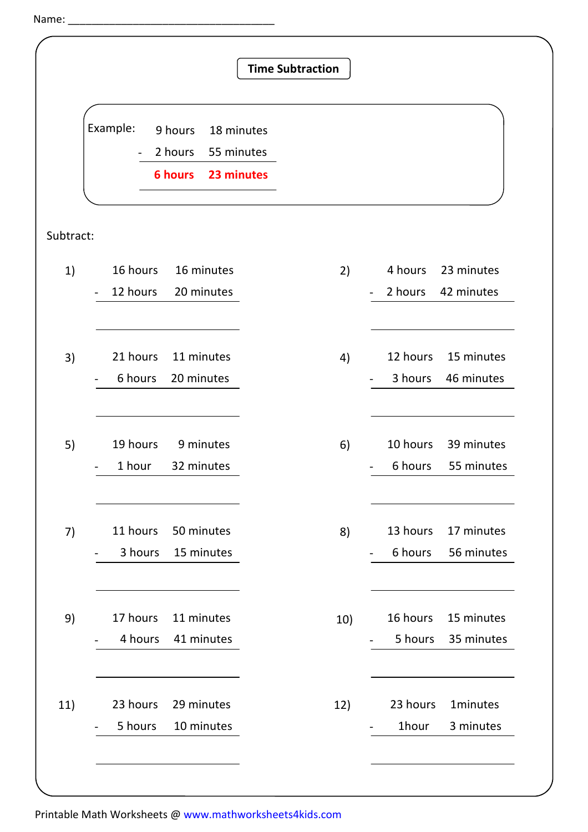Name:  $\overline{\phantom{a}}$